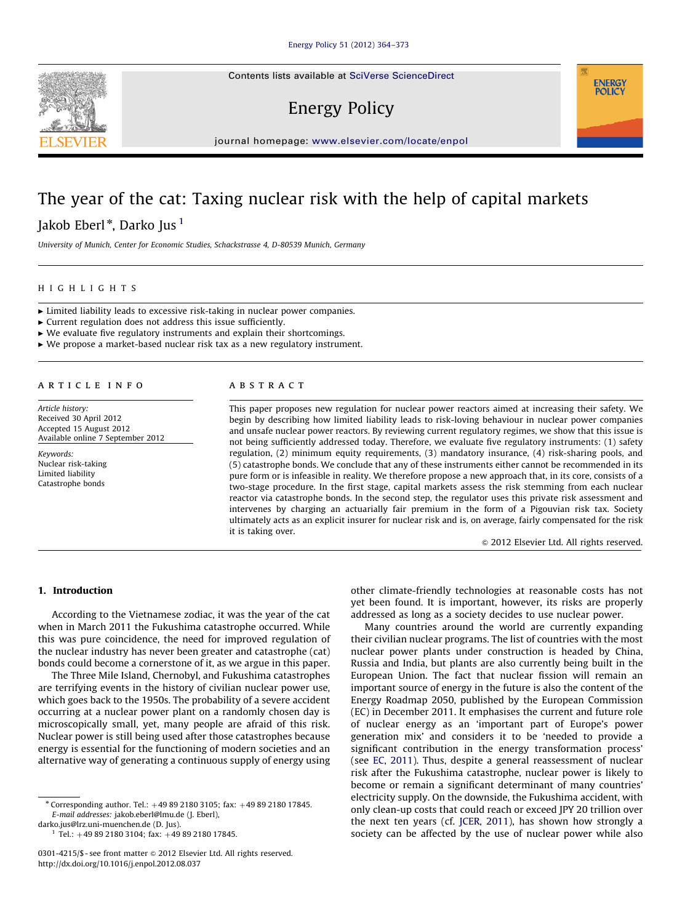Contents lists available at [SciVerse ScienceDirect](www.elsevier.com/locate/enpol)

# Energy Policy



### The year of the cat: Taxing nuclear risk with the help of capital markets

Jakob Eberl\*, Darko Jus <sup>1</sup>

University of Munich, Center for Economic Studies, Schackstrasse 4, D-80539 Munich, Germany

#### HIGHLIGHTS

 $\blacktriangleright$  Limited liability leads to excessive risk-taking in nuclear power companies.

 $\triangleright$  Current regulation does not address this issue sufficiently.

 $\triangleright$  We evaluate five regulatory instruments and explain their shortcomings.

 $\triangleright$  We propose a market-based nuclear risk tax as a new regulatory instrument.

#### article info

Article history: Received 30 April 2012 Accepted 15 August 2012 Available online 7 September 2012

Keywords: Nuclear risk-taking Limited liability Catastrophe bonds

#### **ABSTRACT**

This paper proposes new regulation for nuclear power reactors aimed at increasing their safety. We begin by describing how limited liability leads to risk-loving behaviour in nuclear power companies and unsafe nuclear power reactors. By reviewing current regulatory regimes, we show that this issue is not being sufficiently addressed today. Therefore, we evaluate five regulatory instruments: (1) safety regulation, (2) minimum equity requirements, (3) mandatory insurance, (4) risk-sharing pools, and (5) catastrophe bonds. We conclude that any of these instruments either cannot be recommended in its pure form or is infeasible in reality. We therefore propose a new approach that, in its core, consists of a two-stage procedure. In the first stage, capital markets assess the risk stemming from each nuclear reactor via catastrophe bonds. In the second step, the regulator uses this private risk assessment and intervenes by charging an actuarially fair premium in the form of a Pigouvian risk tax. Society ultimately acts as an explicit insurer for nuclear risk and is, on average, fairly compensated for the risk it is taking over.

 $©$  2012 Elsevier Ltd. All rights reserved.

**ENERGY POLICY** 

#### 1. Introduction

According to the Vietnamese zodiac, it was the year of the cat when in March 2011 the Fukushima catastrophe occurred. While this was pure coincidence, the need for improved regulation of the nuclear industry has never been greater and catastrophe (cat) bonds could become a cornerstone of it, as we argue in this paper.

The Three Mile Island, Chernobyl, and Fukushima catastrophes are terrifying events in the history of civilian nuclear power use, which goes back to the 1950s. The probability of a severe accident occurring at a nuclear power plant on a randomly chosen day is microscopically small, yet, many people are afraid of this risk. Nuclear power is still being used after those catastrophes because energy is essential for the functioning of modern societies and an alternative way of generating a continuous supply of energy using

[darko.jus@lrz.uni-muenchen.de \(D. Jus\)](mailto:darko.jus@lrz.uni-muenchen.de).

 $1$  Tel.: +49 89 2180 3104; fax: +49 89 2180 17845.

other climate-friendly technologies at reasonable costs has not yet been found. It is important, however, its risks are properly addressed as long as a society decides to use nuclear power.

Many countries around the world are currently expanding their civilian nuclear programs. The list of countries with the most nuclear power plants under construction is headed by China, Russia and India, but plants are also currently being built in the European Union. The fact that nuclear fission will remain an important source of energy in the future is also the content of the Energy Roadmap 2050, published by the European Commission (EC) in December 2011. It emphasises the current and future role of nuclear energy as an 'important part of Europe's power generation mix' and considers it to be 'needed to provide a significant contribution in the energy transformation process' (see [EC, 2011](#page--1-0)). Thus, despite a general reassessment of nuclear risk after the Fukushima catastrophe, nuclear power is likely to become or remain a significant determinant of many countries' electricity supply. On the downside, the Fukushima accident, with only clean-up costs that could reach or exceed JPY 20 trillion over the next ten years (cf. [JCER, 2011](#page--1-0)), has shown how strongly a society can be affected by the use of nuclear power while also



 $*$  Corresponding author. Tel.:  $+498921803105$ ; fax:  $+4989218017845$ . E-mail addresses: [jakob.eberl@lmu.de \(J. Eberl\)](mailto:jakob.eberl@lmu.de),

<sup>0301-4215/\$ -</sup> see front matter  $\odot$  2012 Elsevier Ltd. All rights reserved. [http://dx.doi.org/10.1016/j.enpol.2012.08.037](dx.doi.org/10.1016/j.enpol.2012.08.037)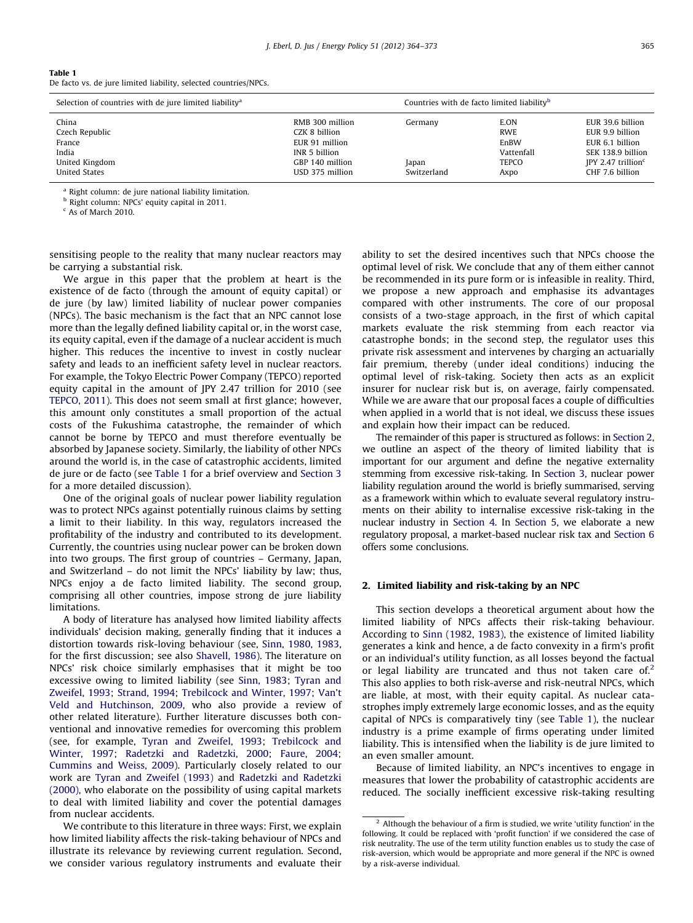| Table 1                                                          |  |
|------------------------------------------------------------------|--|
| De facto vs. de jure limited liability, selected countries/NPCs. |  |

| Selection of countries with de jure limited liability <sup>a</sup> |                 |             | Countries with de facto limited liability <sup>b</sup> |                                  |  |
|--------------------------------------------------------------------|-----------------|-------------|--------------------------------------------------------|----------------------------------|--|
| China                                                              | RMB 300 million | Germany     | E.ON                                                   | EUR 39.6 billion                 |  |
| Czech Republic                                                     | CZK 8 billion   |             | RWE                                                    | EUR 9.9 billion                  |  |
| France                                                             | EUR 91 million  |             | EnBW                                                   | EUR 6.1 billion                  |  |
| India                                                              | INR 5 billion   |             | Vattenfall                                             | SEK 138.9 billion                |  |
| United Kingdom                                                     | GBP 140 million | Japan       | <b>TEPCO</b>                                           | $IPY$ 2.47 trillion <sup>c</sup> |  |
| United States                                                      | USD 375 million | Switzerland | Axpo                                                   | CHF 7.6 billion                  |  |

<sup>a</sup> Right column: de jure national liability limitation.

<sup>b</sup> Right column: NPCs' equity capital in 2011.

 $c$  As of March 2010.

sensitising people to the reality that many nuclear reactors may be carrying a substantial risk.

We argue in this paper that the problem at heart is the existence of de facto (through the amount of equity capital) or de jure (by law) limited liability of nuclear power companies (NPCs). The basic mechanism is the fact that an NPC cannot lose more than the legally defined liability capital or, in the worst case, its equity capital, even if the damage of a nuclear accident is much higher. This reduces the incentive to invest in costly nuclear safety and leads to an inefficient safety level in nuclear reactors. For example, the Tokyo Electric Power Company (TEPCO) reported equity capital in the amount of JPY 2.47 trillion for 2010 (see [TEPCO, 2011](#page--1-0)). This does not seem small at first glance; however, this amount only constitutes a small proportion of the actual costs of the Fukushima catastrophe, the remainder of which cannot be borne by TEPCO and must therefore eventually be absorbed by Japanese society. Similarly, the liability of other NPCs around the world is, in the case of catastrophic accidents, limited de jure or de facto (see Table 1 for a brief overview and [Section 3](#page--1-0) for a more detailed discussion).

One of the original goals of nuclear power liability regulation was to protect NPCs against potentially ruinous claims by setting a limit to their liability. In this way, regulators increased the profitability of the industry and contributed to its development. Currently, the countries using nuclear power can be broken down into two groups. The first group of countries – Germany, Japan, and Switzerland – do not limit the NPCs' liability by law; thus, NPCs enjoy a de facto limited liability. The second group, comprising all other countries, impose strong de jure liability limitations.

A body of literature has analysed how limited liability affects individuals' decision making, generally finding that it induces a distortion towards risk-loving behaviour (see, [Sinn, 1980,](#page--1-0) [1983,](#page--1-0) for the first discussion; see also [Shavell, 1986](#page--1-0)). The literature on NPCs' risk choice similarly emphasises that it might be too excessive owing to limited liability (see [Sinn, 1983;](#page--1-0) [Tyran and](#page--1-0) [Zweifel, 1993](#page--1-0); [Strand, 1994](#page--1-0); [Trebilcock and Winter, 1997;](#page--1-0) [Van't](#page--1-0) [Veld and Hutchinson, 2009](#page--1-0), who also provide a review of other related literature). Further literature discusses both conventional and innovative remedies for overcoming this problem (see, for example, [Tyran and Zweifel, 1993](#page--1-0); [Trebilcock and](#page--1-0) [Winter, 1997;](#page--1-0) [Radetzki and Radetzki, 2000;](#page--1-0) [Faure, 2004;](#page--1-0) [Cummins and Weiss, 2009\)](#page--1-0). Particularly closely related to our work are [Tyran and Zweifel \(1993\)](#page--1-0) and [Radetzki and Radetzki](#page--1-0) [\(2000\),](#page--1-0) who elaborate on the possibility of using capital markets to deal with limited liability and cover the potential damages from nuclear accidents.

We contribute to this literature in three ways: First, we explain how limited liability affects the risk-taking behaviour of NPCs and illustrate its relevance by reviewing current regulation. Second, we consider various regulatory instruments and evaluate their ability to set the desired incentives such that NPCs choose the optimal level of risk. We conclude that any of them either cannot be recommended in its pure form or is infeasible in reality. Third, we propose a new approach and emphasise its advantages compared with other instruments. The core of our proposal consists of a two-stage approach, in the first of which capital markets evaluate the risk stemming from each reactor via catastrophe bonds; in the second step, the regulator uses this private risk assessment and intervenes by charging an actuarially fair premium, thereby (under ideal conditions) inducing the optimal level of risk-taking. Society then acts as an explicit insurer for nuclear risk but is, on average, fairly compensated. While we are aware that our proposal faces a couple of difficulties when applied in a world that is not ideal, we discuss these issues and explain how their impact can be reduced.

The remainder of this paper is structured as follows: in Section 2, we outline an aspect of the theory of limited liability that is important for our argument and define the negative externality stemming from excessive risk-taking. In [Section 3,](#page--1-0) nuclear power liability regulation around the world is briefly summarised, serving as a framework within which to evaluate several regulatory instruments on their ability to internalise excessive risk-taking in the nuclear industry in [Section 4](#page--1-0). In [Section 5](#page--1-0), we elaborate a new regulatory proposal, a market-based nuclear risk tax and [Section 6](#page--1-0) offers some conclusions.

#### 2. Limited liability and risk-taking by an NPC

This section develops a theoretical argument about how the limited liability of NPCs affects their risk-taking behaviour. According to [Sinn \(1982,](#page--1-0) [1983\)](#page--1-0), the existence of limited liability generates a kink and hence, a de facto convexity in a firm's profit or an individual's utility function, as all losses beyond the factual or legal liability are truncated and thus not taken care of.<sup>2</sup> This also applies to both risk-averse and risk-neutral NPCs, which are liable, at most, with their equity capital. As nuclear catastrophes imply extremely large economic losses, and as the equity capital of NPCs is comparatively tiny (see Table 1), the nuclear industry is a prime example of firms operating under limited liability. This is intensified when the liability is de jure limited to an even smaller amount.

Because of limited liability, an NPC's incentives to engage in measures that lower the probability of catastrophic accidents are reduced. The socially inefficient excessive risk-taking resulting

 $2$  Although the behaviour of a firm is studied, we write 'utility function' in the following. It could be replaced with 'profit function' if we considered the case of risk neutrality. The use of the term utility function enables us to study the case of risk-aversion, which would be appropriate and more general if the NPC is owned by a risk-averse individual.